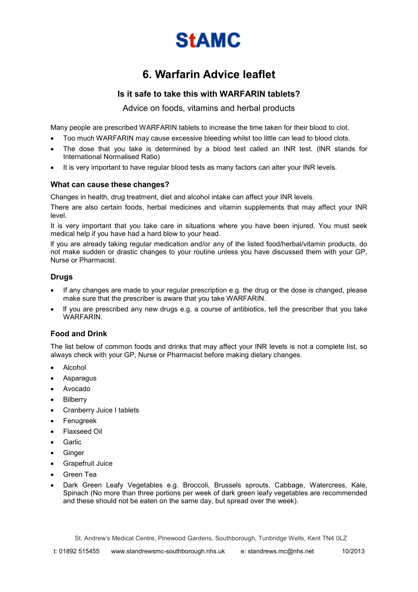

# **6. Warfarin Advice leaflet**

## **Is it safe to take this with WARFARIN tablets?**

Advice on foods, vitamins and herbal products

Many people are prescribed WARFARIN tablets to increase the time taken for their blood to clot.

- Too much WARFARIN may cause excessive bleeding whilst too little can lead to blood clots.
- The dose that you take is determined by a blood test called an INR test. (INR stands for International Normalised Ratio)
- It is very important to have regular blood tests as many factors can alter your INR levels.

#### **What can cause these changes?**

Changes in health, drug treatment, diet and alcohol intake can affect your INR levels.

There are also certain foods, herbal medicines and vitamin supplements that may affect your INR level.

It is very important that you take care in situations where you have been injured. You must seek medical help if you have had a hard blow to your head.

lf you are already taking regular medication and/or any of the listed food/herbal/vitamin products, do not make sudden or drastic changes to your routine unless you have discussed them with your GP, Nurse or Pharmacist.

## **Drugs**

- If any changes are made to your regular prescription e.g. the drug or the dose is changed, please make sure that the prescriber is aware that you take WARFARIN.
- If you are prescribed any new drugs e.g. a course of antibiotics, tell the prescriber that you take WARFARIN.

#### **Food and Drink**

The list below of common foods and drinks that may affect your INR levels is not a complete list, so always check with your GP, Nurse or Pharmacist before making dietary changes.

- Alcohol
- **Asparagus**
- Avocado
- **Bilberry**
- Cranberry Juice I tablets
- Fenugreek
- Flaxseed Oil
- **Garlic**
- **Ginger**
- Grapefruit Juice
- Green Tea
- Dark Green Leafy Vegetables e.g. Broccoli, Brussels sprouts, Cabbage, Watercress, Kale, Spinach (No more than three portions per week of dark green leafy vegetables are recommended and these should not be eaten on the same day, but spread over the week).

St. Andrew's Medical Centre, Pinewood Gardens, Southborough, Tunbridge Wells, Kent TN4 0LZ